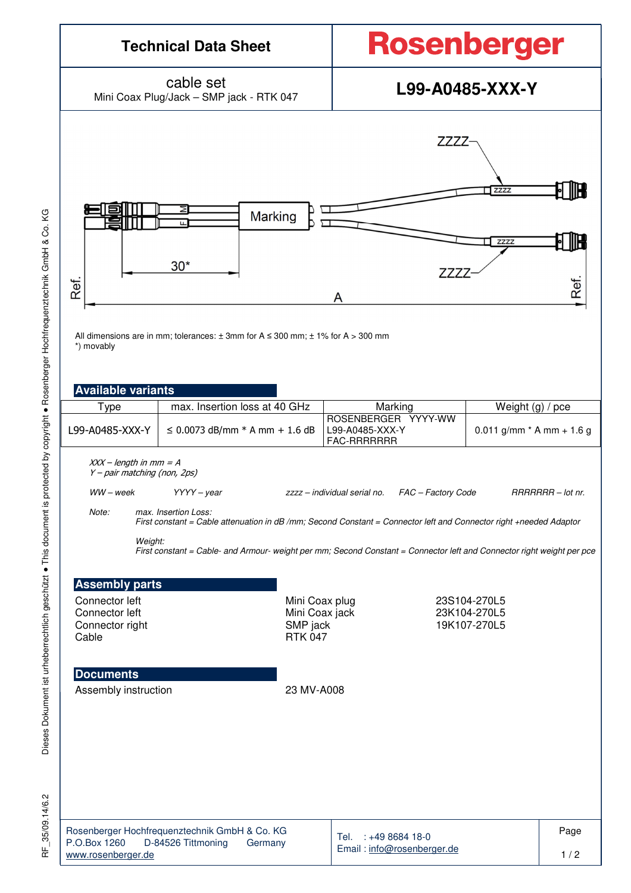

RF\_35/09.14/6.2 35/09.14/6.2 눈